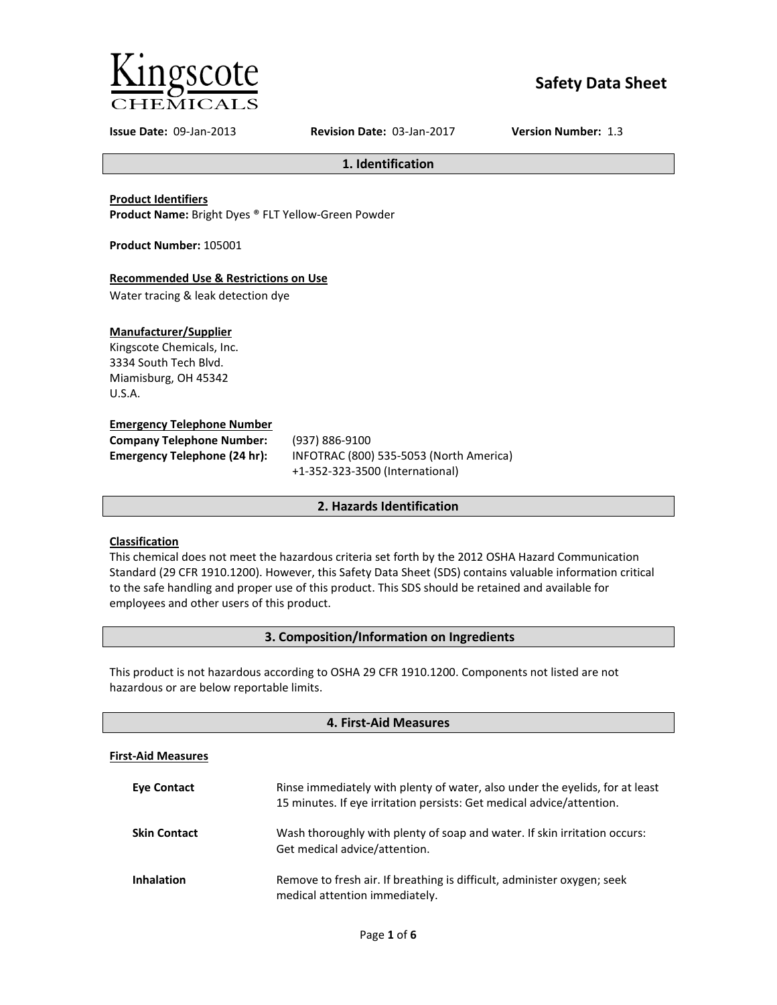

# **Safety Data Sheet**

**Issue Date:** 09-Jan-2013 **Revision Date:** 03-Jan-2017 **Version Number:** 1.3

**1. Identification**

**Product Identifiers**

**Product Name:** Bright Dyes ® FLT Yellow-Green Powder

**Product Number:** 105001

# **Recommended Use & Restrictions on Use**

Water tracing & leak detection dye

# **Manufacturer/Supplier**

Kingscote Chemicals, Inc. 3334 South Tech Blvd. Miamisburg, OH 45342 U.S.A.

#### **Emergency Telephone Number**

| <b>Company Telephone Number:</b> | (937)       |
|----------------------------------|-------------|
| Emergency Telephone (24 hr):     | <b>INFC</b> |
|                                  |             |

**Company Telephone Number:** (937) 886-9100 **Emergency Telephone (24 hr):** INFOTRAC (800) 535-5053 (North America) +1-352-323-3500 (International)

# **2. Hazards Identification**

# **Classification**

This chemical does not meet the hazardous criteria set forth by the 2012 OSHA Hazard Communication Standard (29 CFR 1910.1200). However, this Safety Data Sheet (SDS) contains valuable information critical to the safe handling and proper use of this product. This SDS should be retained and available for employees and other users of this product.

# **3. Composition/Information on Ingredients**

This product is not hazardous according to OSHA 29 CFR 1910.1200. Components not listed are not hazardous or are below reportable limits.

| 4. First-Aid Measures     |                                                                                                                                                       |  |  |
|---------------------------|-------------------------------------------------------------------------------------------------------------------------------------------------------|--|--|
| <b>First-Aid Measures</b> |                                                                                                                                                       |  |  |
| <b>Eve Contact</b>        | Rinse immediately with plenty of water, also under the eyelids, for at least<br>15 minutes. If eye irritation persists: Get medical advice/attention. |  |  |
| <b>Skin Contact</b>       | Wash thoroughly with plenty of soap and water. If skin irritation occurs:<br>Get medical advice/attention.                                            |  |  |
| <b>Inhalation</b>         | Remove to fresh air. If breathing is difficult, administer oxygen; seek<br>medical attention immediately.                                             |  |  |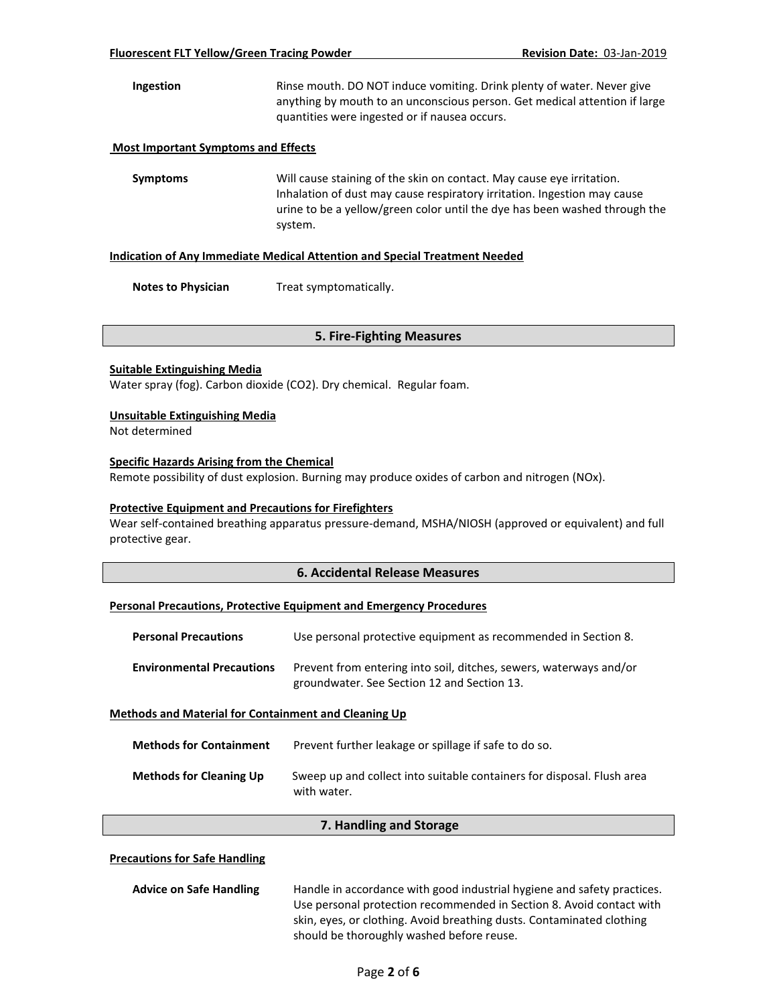**Ingestion** Rinse mouth. DO NOT induce vomiting. Drink plenty of water. Never give anything by mouth to an unconscious person. Get medical attention if large quantities were ingested or if nausea occurs.

#### **Most Important Symptoms and Effects**

**Symptoms** Will cause staining of the skin on contact. May cause eye irritation. Inhalation of dust may cause respiratory irritation. Ingestion may cause urine to be a yellow/green color until the dye has been washed through the system.

#### **Indication of Any Immediate Medical Attention and Special Treatment Needed**

**Notes to Physician** Treat symptomatically.

#### **5. Fire-Fighting Measures**

#### **Suitable Extinguishing Media**

Water spray (fog). Carbon dioxide (CO2). Dry chemical. Regular foam.

#### **Unsuitable Extinguishing Media**

Not determined

#### **Specific Hazards Arising from the Chemical**

Remote possibility of dust explosion. Burning may produce oxides of carbon and nitrogen (NOx).

#### **Protective Equipment and Precautions for Firefighters**

Wear self-contained breathing apparatus pressure-demand, MSHA/NIOSH (approved or equivalent) and full protective gear.

#### **6. Accidental Release Measures**

### **Personal Precautions, Protective Equipment and Emergency Procedures**

| <b>Personal Precautions</b>                                 | Use personal protective equipment as recommended in Section 8.                                                    |  |
|-------------------------------------------------------------|-------------------------------------------------------------------------------------------------------------------|--|
| <b>Environmental Precautions</b>                            | Prevent from entering into soil, ditches, sewers, waterways and/or<br>groundwater. See Section 12 and Section 13. |  |
| <b>Methods and Material for Containment and Cleaning Up</b> |                                                                                                                   |  |
| Mathade for Containmant                                     | Brovent further leakage or spillage if safe to do so                                                              |  |

| IVIELIJUUS JUI CUIILAIIIIIIEIIL | Prevent further leakage or spillage if safe to do so.                                 |
|---------------------------------|---------------------------------------------------------------------------------------|
| <b>Methods for Cleaning Up</b>  | Sweep up and collect into suitable containers for disposal. Flush area<br>with water. |

#### **7. Handling and Storage**

### **Precautions for Safe Handling**

**Advice on Safe Handling** Handle in accordance with good industrial hygiene and safety practices. Use personal protection recommended in Section 8. Avoid contact with skin, eyes, or clothing. Avoid breathing dusts. Contaminated clothing should be thoroughly washed before reuse.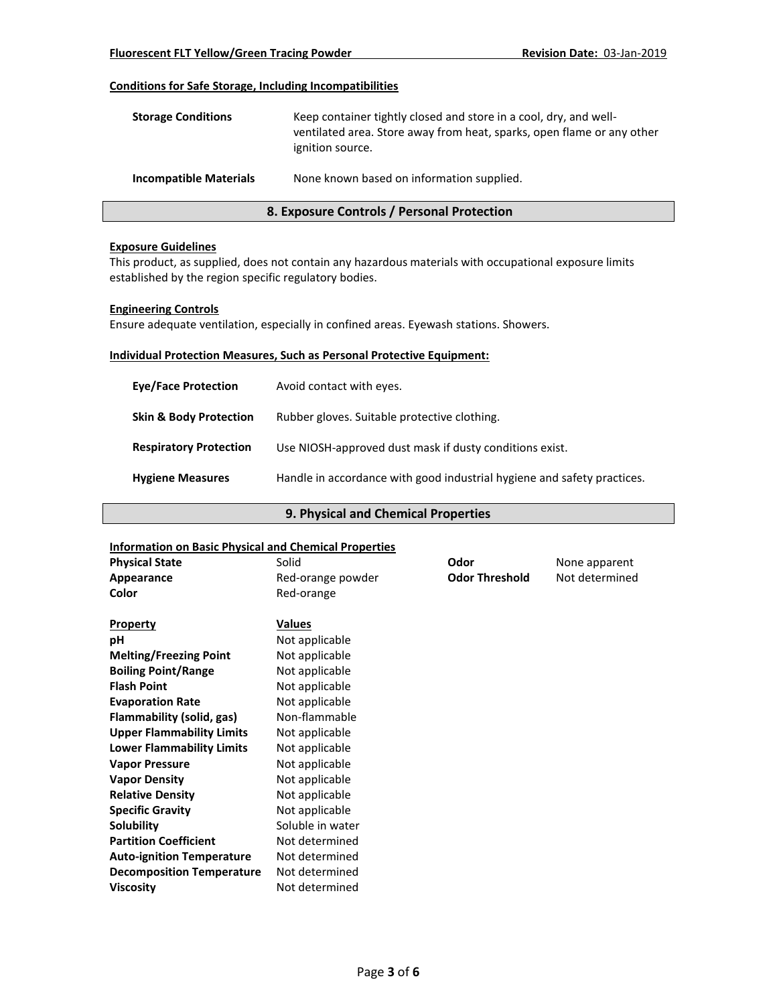## **Conditions for Safe Storage, Including Incompatibilities**

| <b>Storage Conditions</b>     | Keep container tightly closed and store in a cool, dry, and well-<br>ventilated area. Store away from heat, sparks, open flame or any other<br>ignition source. |
|-------------------------------|-----------------------------------------------------------------------------------------------------------------------------------------------------------------|
| <b>Incompatible Materials</b> | None known based on information supplied.                                                                                                                       |

# **8. Exposure Controls / Personal Protection**

#### **Exposure Guidelines**

This product, as supplied, does not contain any hazardous materials with occupational exposure limits established by the region specific regulatory bodies.

### **Engineering Controls**

Ensure adequate ventilation, especially in confined areas. Eyewash stations. Showers.

# **Individual Protection Measures, Such as Personal Protective Equipment:**

| <b>Eye/Face Protection</b>        | Avoid contact with eyes.                                                |
|-----------------------------------|-------------------------------------------------------------------------|
| <b>Skin &amp; Body Protection</b> | Rubber gloves. Suitable protective clothing.                            |
| <b>Respiratory Protection</b>     | Use NIOSH-approved dust mask if dusty conditions exist.                 |
| <b>Hygiene Measures</b>           | Handle in accordance with good industrial hygiene and safety practices. |

# **9. Physical and Chemical Properties**

#### **Information on Basic Physical and Chemical Properties**

| <b>Physical State</b>            | Solid             | Odor                  | None apparent  |
|----------------------------------|-------------------|-----------------------|----------------|
| Appearance                       | Red-orange powder | <b>Odor Threshold</b> | Not determined |
| Color                            | Red-orange        |                       |                |
|                                  |                   |                       |                |
| <b>Property</b>                  | <b>Values</b>     |                       |                |
| рH                               | Not applicable    |                       |                |
| <b>Melting/Freezing Point</b>    | Not applicable    |                       |                |
| <b>Boiling Point/Range</b>       | Not applicable    |                       |                |
| <b>Flash Point</b>               | Not applicable    |                       |                |
| <b>Evaporation Rate</b>          | Not applicable    |                       |                |
| Flammability (solid, gas)        | Non-flammable     |                       |                |
| <b>Upper Flammability Limits</b> | Not applicable    |                       |                |
| <b>Lower Flammability Limits</b> | Not applicable    |                       |                |
| <b>Vapor Pressure</b>            | Not applicable    |                       |                |
| <b>Vapor Density</b>             | Not applicable    |                       |                |
| <b>Relative Density</b>          | Not applicable    |                       |                |
| <b>Specific Gravity</b>          | Not applicable    |                       |                |
| Solubility                       | Soluble in water  |                       |                |
| <b>Partition Coefficient</b>     | Not determined    |                       |                |
| <b>Auto-ignition Temperature</b> | Not determined    |                       |                |
| <b>Decomposition Temperature</b> | Not determined    |                       |                |
| <b>Viscosity</b>                 | Not determined    |                       |                |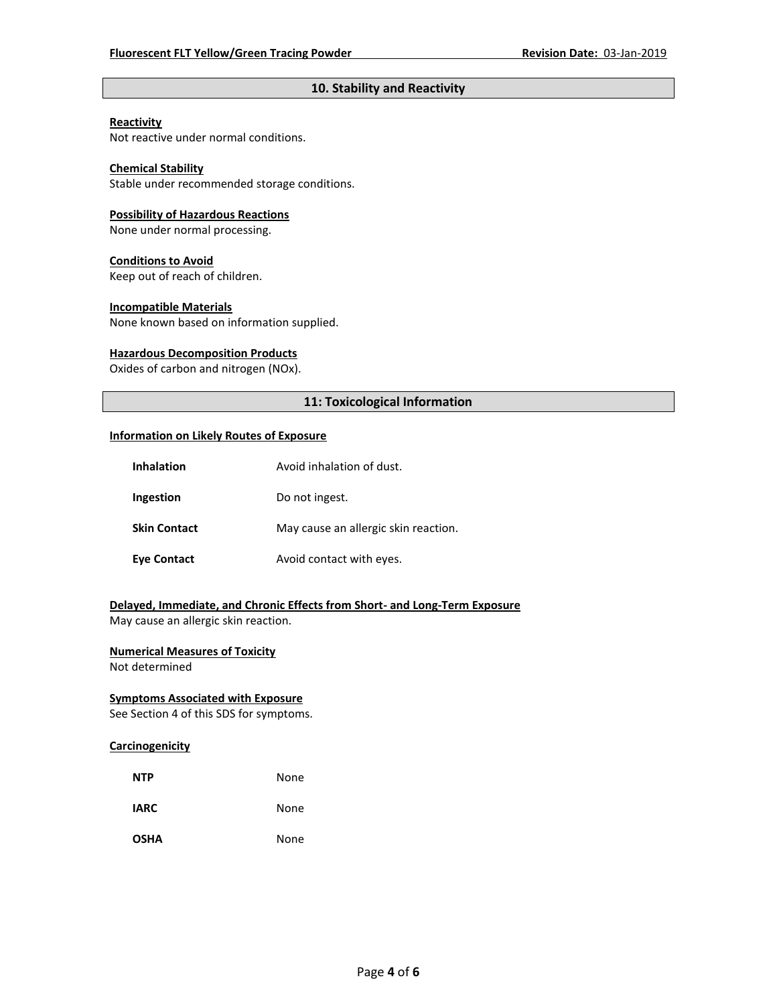# **10. Stability and Reactivity**

#### **Reactivity**

Not reactive under normal conditions.

# **Chemical Stability**

Stable under recommended storage conditions.

#### **Possibility of Hazardous Reactions**

None under normal processing.

#### **Conditions to Avoid**

Keep out of reach of children.

#### **Incompatible Materials**

None known based on information supplied.

#### **Hazardous Decomposition Products**

Oxides of carbon and nitrogen (NOx).

# **11: Toxicological Information**

#### **Information on Likely Routes of Exposure**

| <b>Inhalation</b>   | Avoid inhalation of dust.            |  |  |
|---------------------|--------------------------------------|--|--|
| Ingestion           | Do not ingest.                       |  |  |
| <b>Skin Contact</b> | May cause an allergic skin reaction. |  |  |
| <b>Eye Contact</b>  | Avoid contact with eyes.             |  |  |

# **Delayed, Immediate, and Chronic Effects from Short- and Long-Term Exposure**

May cause an allergic skin reaction.

# **Numerical Measures of Toxicity**

Not determined

# **Symptoms Associated with Exposure**

See Section 4 of this SDS for symptoms.

# **Carcinogenicity**

| <b>NTP</b>  | None |
|-------------|------|
| <b>IARC</b> | None |
| <b>OSHA</b> | None |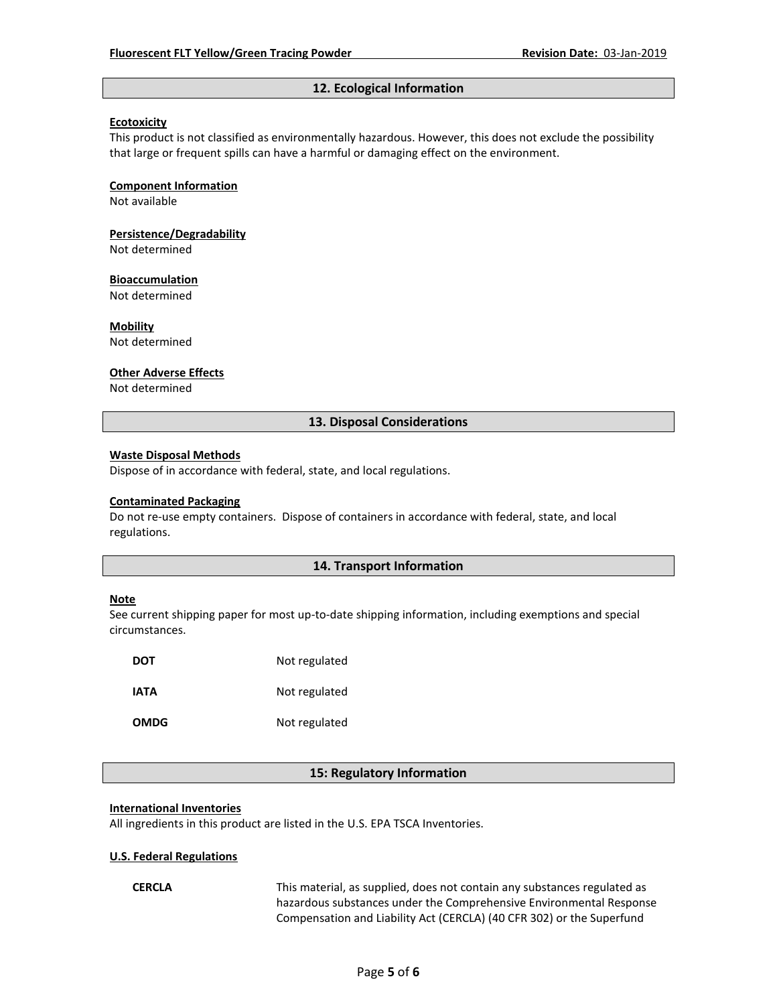# **12. Ecological Information**

### **Ecotoxicity**

This product is not classified as environmentally hazardous. However, this does not exclude the possibility that large or frequent spills can have a harmful or damaging effect on the environment.

#### **Component Information**

Not available

**Persistence/Degradability**

Not determined

#### **Bioaccumulation**

Not determined

**Mobility**

Not determined

#### **Other Adverse Effects**

Not determined

# **13. Disposal Considerations**

#### **Waste Disposal Methods**

Dispose of in accordance with federal, state, and local regulations.

#### **Contaminated Packaging**

Do not re-use empty containers.Dispose of containers in accordance with federal, state, and local regulations.

## **14. Transport Information**

#### **Note**

See current shipping paper for most up-to-date shipping information, including exemptions and special circumstances.

| DOT         | Not regulated |
|-------------|---------------|
| IATA        | Not regulated |
| <b>OMDG</b> | Not regulated |

## **15: Regulatory Information**

#### **International Inventories**

All ingredients in this product are listed in the U.S. EPA TSCA Inventories.

#### **U.S. Federal Regulations**

**CERCLA** This material, as supplied, does not contain any substances regulated as hazardous substances under the Comprehensive Environmental Response Compensation and Liability Act (CERCLA) (40 CFR 302) or the Superfund